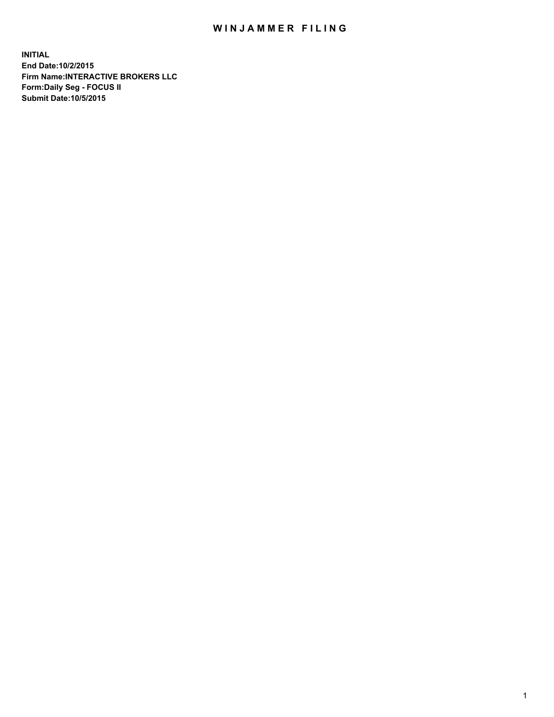## WIN JAMMER FILING

**INITIAL End Date:10/2/2015 Firm Name:INTERACTIVE BROKERS LLC Form:Daily Seg - FOCUS II Submit Date:10/5/2015**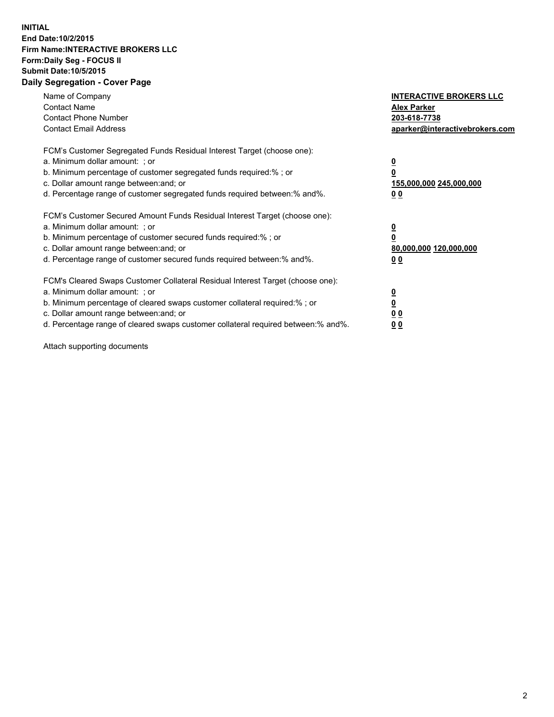## **INITIAL End Date:10/2/2015 Firm Name:INTERACTIVE BROKERS LLC Form:Daily Seg - FOCUS II Submit Date:10/5/2015 Daily Segregation - Cover Page**

| Name of Company<br><b>Contact Name</b><br><b>Contact Phone Number</b><br><b>Contact Email Address</b>                                                                                                                                                                                                                         | <b>INTERACTIVE BROKERS LLC</b><br><b>Alex Parker</b><br>203-618-7738<br>aparker@interactivebrokers.com |
|-------------------------------------------------------------------------------------------------------------------------------------------------------------------------------------------------------------------------------------------------------------------------------------------------------------------------------|--------------------------------------------------------------------------------------------------------|
| FCM's Customer Segregated Funds Residual Interest Target (choose one):<br>a. Minimum dollar amount: ; or<br>b. Minimum percentage of customer segregated funds required:% ; or<br>c. Dollar amount range between: and; or<br>d. Percentage range of customer segregated funds required between:% and%.                        | <u>0</u><br>155,000,000 245,000,000<br>0 <sub>0</sub>                                                  |
| FCM's Customer Secured Amount Funds Residual Interest Target (choose one):<br>a. Minimum dollar amount: ; or<br>b. Minimum percentage of customer secured funds required:%; or<br>c. Dollar amount range between: and; or<br>d. Percentage range of customer secured funds required between: % and %.                         | <u>0</u><br>80,000,000 120,000,000<br><u>00</u>                                                        |
| FCM's Cleared Swaps Customer Collateral Residual Interest Target (choose one):<br>a. Minimum dollar amount: ; or<br>b. Minimum percentage of cleared swaps customer collateral required:%; or<br>c. Dollar amount range between: and; or<br>d. Percentage range of cleared swaps customer collateral required between:% and%. | <u>0</u><br>0 <sub>0</sub><br>0 <sub>0</sub>                                                           |

Attach supporting documents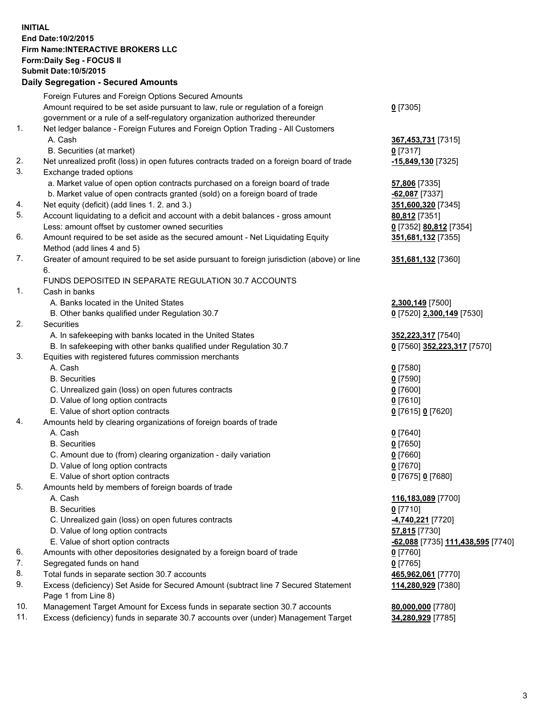## **INITIAL End Date:10/2/2015 Firm Name:INTERACTIVE BROKERS LLC Form:Daily Seg - FOCUS II Submit Date:10/5/2015 Daily Segregation - Secured Amounts**

|                | Daily Jegregation - Jeculed Aniounts                                                                 |                                   |
|----------------|------------------------------------------------------------------------------------------------------|-----------------------------------|
|                | Foreign Futures and Foreign Options Secured Amounts                                                  |                                   |
|                | Amount required to be set aside pursuant to law, rule or regulation of a foreign                     | $0$ [7305]                        |
|                | government or a rule of a self-regulatory organization authorized thereunder                         |                                   |
| 1.             | Net ledger balance - Foreign Futures and Foreign Option Trading - All Customers                      |                                   |
|                | A. Cash                                                                                              | 367,453,731 [7315]                |
|                | B. Securities (at market)                                                                            | $0$ [7317]                        |
| 2.             | Net unrealized profit (loss) in open futures contracts traded on a foreign board of trade            | -15,849,130 [7325]                |
| 3.             | Exchange traded options                                                                              |                                   |
|                | a. Market value of open option contracts purchased on a foreign board of trade                       | <b>57,806</b> [7335]              |
|                | b. Market value of open contracts granted (sold) on a foreign board of trade                         | $-62,087$ [7337]                  |
| 4.             | Net equity (deficit) (add lines 1.2. and 3.)                                                         | 351,600,320 [7345]                |
| 5.             | Account liquidating to a deficit and account with a debit balances - gross amount                    | 80,812 [7351]                     |
|                | Less: amount offset by customer owned securities                                                     | 0 [7352] 80,812 [7354]            |
| 6.             | Amount required to be set aside as the secured amount - Net Liquidating Equity                       | 351,681,132 [7355]                |
|                | Method (add lines 4 and 5)                                                                           |                                   |
| 7.             | Greater of amount required to be set aside pursuant to foreign jurisdiction (above) or line          | 351,681,132 [7360]                |
|                | 6.                                                                                                   |                                   |
|                | FUNDS DEPOSITED IN SEPARATE REGULATION 30.7 ACCOUNTS                                                 |                                   |
| $\mathbf{1}$ . | Cash in banks                                                                                        |                                   |
|                | A. Banks located in the United States                                                                | 2,300,149 [7500]                  |
|                | B. Other banks qualified under Regulation 30.7                                                       | 0 [7520] 2,300,149 [7530]         |
| 2.             | Securities                                                                                           |                                   |
|                | A. In safekeeping with banks located in the United States                                            | 352,223,317 [7540]                |
|                | B. In safekeeping with other banks qualified under Regulation 30.7                                   | 0 [7560] 352,223,317 [7570]       |
| 3.             | Equities with registered futures commission merchants                                                |                                   |
|                | A. Cash                                                                                              | $0$ [7580]                        |
|                | <b>B.</b> Securities                                                                                 | $0$ [7590]                        |
|                | C. Unrealized gain (loss) on open futures contracts                                                  | $0$ [7600]                        |
|                | D. Value of long option contracts                                                                    | $0$ [7610]                        |
| 4.             | E. Value of short option contracts                                                                   | 0 [7615] 0 [7620]                 |
|                | Amounts held by clearing organizations of foreign boards of trade                                    |                                   |
|                | A. Cash                                                                                              | $0$ [7640]                        |
|                | <b>B.</b> Securities                                                                                 | $0$ [7650]<br>$0$ [7660]          |
|                | C. Amount due to (from) clearing organization - daily variation<br>D. Value of long option contracts | $0$ [7670]                        |
|                | E. Value of short option contracts                                                                   | 0 [7675] 0 [7680]                 |
| 5.             | Amounts held by members of foreign boards of trade                                                   |                                   |
|                | A. Cash                                                                                              | 116,183,089 [7700]                |
|                | <b>B.</b> Securities                                                                                 | $0$ [7710]                        |
|                | C. Unrealized gain (loss) on open futures contracts                                                  | 4,740,221 [7720]                  |
|                | D. Value of long option contracts                                                                    | 57,815 [7730]                     |
|                | E. Value of short option contracts                                                                   | -62,088 [7735] 111,438,595 [7740] |
| 6.             | Amounts with other depositories designated by a foreign board of trade                               | 0 [7760]                          |
| 7.             | Segregated funds on hand                                                                             | $0$ [7765]                        |
| 8.             | Total funds in separate section 30.7 accounts                                                        | 465,962,061 [7770]                |
| 9.             | Excess (deficiency) Set Aside for Secured Amount (subtract line 7 Secured Statement                  | 114,280,929 [7380]                |
|                | Page 1 from Line 8)                                                                                  |                                   |
| 10.            | Management Target Amount for Excess funds in separate section 30.7 accounts                          | 80,000,000 [7780]                 |
| 11.            | Excess (deficiency) funds in separate 30.7 accounts over (under) Management Target                   | 34,280,929 [7785]                 |
|                |                                                                                                      |                                   |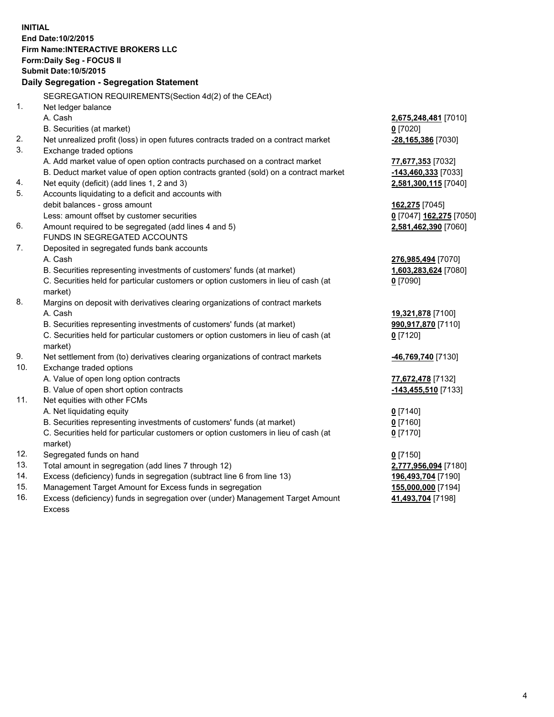**INITIAL End Date:10/2/2015 Firm Name:INTERACTIVE BROKERS LLC Form:Daily Seg - FOCUS II Submit Date:10/5/2015 Daily Segregation - Segregation Statement** SEGREGATION REQUIREMENTS(Section 4d(2) of the CEAct) 1. Net ledger balance A. Cash **2,675,248,481** [7010] B. Securities (at market) **0** [7020] 2. Net unrealized profit (loss) in open futures contracts traded on a contract market **-28,165,386** [7030] 3. Exchange traded options A. Add market value of open option contracts purchased on a contract market **77,677,353** [7032] B. Deduct market value of open option contracts granted (sold) on a contract market **-143,460,333** [7033] 4. Net equity (deficit) (add lines 1, 2 and 3) **2,581,300,115** [7040] 5. Accounts liquidating to a deficit and accounts with debit balances - gross amount **162,275** [7045] Less: amount offset by customer securities **0** [7047] **162,275** [7050] 6. Amount required to be segregated (add lines 4 and 5) **2,581,462,390** [7060] FUNDS IN SEGREGATED ACCOUNTS 7. Deposited in segregated funds bank accounts A. Cash **276,985,494** [7070] B. Securities representing investments of customers' funds (at market) **1,603,283,624** [7080] C. Securities held for particular customers or option customers in lieu of cash (at market) **0** [7090] 8. Margins on deposit with derivatives clearing organizations of contract markets A. Cash **19,321,878** [7100] B. Securities representing investments of customers' funds (at market) **990,917,870** [7110] C. Securities held for particular customers or option customers in lieu of cash (at market) **0** [7120] 9. Net settlement from (to) derivatives clearing organizations of contract markets **-46,769,740** [7130] 10. Exchange traded options A. Value of open long option contracts **77,672,478** [7132] B. Value of open short option contracts **-143,455,510** [7133] 11. Net equities with other FCMs A. Net liquidating equity **0** [7140] B. Securities representing investments of customers' funds (at market) **0** [7160] C. Securities held for particular customers or option customers in lieu of cash (at market) **0** [7170] 12. Segregated funds on hand **0** [7150] 13. Total amount in segregation (add lines 7 through 12) **2,777,956,094** [7180] 14. Excess (deficiency) funds in segregation (subtract line 6 from line 13) **196,493,704** [7190] 15. Management Target Amount for Excess funds in segregation **155,000,000** [7194] 16. Excess (deficiency) funds in segregation over (under) Management Target Amount **41,493,704** [7198]

Excess